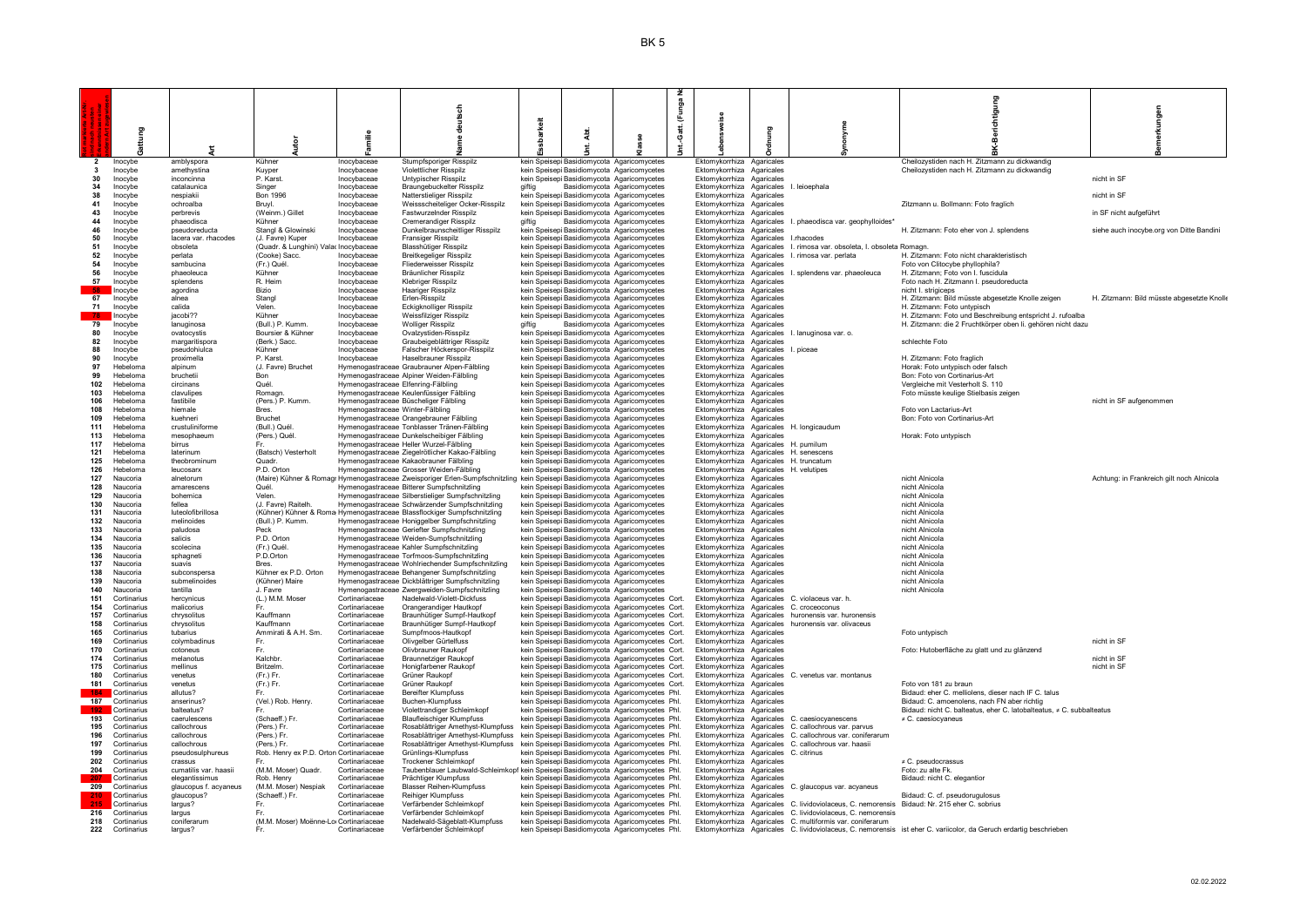|                                |                                |                                       |                                         |                                     | Sch                                                                                                                      |        | unga                                                                                                |                                                                     |     |                                                                                                                                                         | erichtigung                                                                                                        |                                            |
|--------------------------------|--------------------------------|---------------------------------------|-----------------------------------------|-------------------------------------|--------------------------------------------------------------------------------------------------------------------------|--------|-----------------------------------------------------------------------------------------------------|---------------------------------------------------------------------|-----|---------------------------------------------------------------------------------------------------------------------------------------------------------|--------------------------------------------------------------------------------------------------------------------|--------------------------------------------|
|                                |                                |                                       |                                         |                                     |                                                                                                                          | š      | Æ,                                                                                                  |                                                                     |     |                                                                                                                                                         |                                                                                                                    | kungen                                     |
|                                |                                |                                       |                                         |                                     |                                                                                                                          |        | Gatt.                                                                                               |                                                                     | gum |                                                                                                                                                         |                                                                                                                    |                                            |
|                                |                                |                                       |                                         |                                     |                                                                                                                          |        |                                                                                                     |                                                                     |     |                                                                                                                                                         | ā                                                                                                                  |                                            |
|                                |                                |                                       |                                         |                                     |                                                                                                                          |        |                                                                                                     |                                                                     |     |                                                                                                                                                         |                                                                                                                    |                                            |
| $\overline{2}$<br>$\mathbf{3}$ | Inocybe<br>Inocybe             | amblyspora<br>amethystina             | Kühner                                  | Inocybaceae<br>Inocybaceae          | Stumpfsporiger Risspilz<br><b>Violettlicher Risspilz</b>                                                                 |        | kein Speisep Basidiomycota Agaricomycetes<br>kein Speisep Basidiomycota Agaricomycetes              | Ektomykorrhiza Agaricales<br>Ektomykorrhiza Agaricales              |     |                                                                                                                                                         | Cheilozystiden nach H. Zitzmann zu dickwandig<br>Cheilozystiden nach H. Zitzmann zu dickwandig                     |                                            |
| 30                             | Inocybe                        | inconcinna                            | Kuyper<br>P. Karst.                     | Inocybaceae                         | Untvpischer Risspilz                                                                                                     |        | kein Speisep Basidiomycota Agaricomycetes                                                           | Ektomykorrhiza Agaricales                                           |     |                                                                                                                                                         |                                                                                                                    | nicht in SF                                |
| 34                             | Inocybe                        | catalaunica                           | Singer                                  | Inocybaceae                         | Braungebuckelter Risspilz                                                                                                | aiftia | Basidiomycota Agaricomycetes                                                                        | Ektomykorrhiza Agaricales                                           |     | I. leioephala                                                                                                                                           |                                                                                                                    |                                            |
| 38<br>41                       | Inocybe                        | nespiakii<br>ochroalba                | Bon 1996                                | Inocybaceae                         | Natterstieliger Risspilz                                                                                                 |        | kein Speisep Basidiomycota Agaricomycetes                                                           | Ektomykorrhiza Agaricales                                           |     |                                                                                                                                                         | Zitzmann u. Bollmann: Foto fraglich                                                                                | nicht in SF                                |
| 43                             | Inocybe<br>Inocybe             | perbrevis                             | Bruyl.<br>(Weinm.) Gillet               | Inocybaceae<br>Inocybaceae          | Weissscheiteliger Ocker-Risspilz<br>Fastwurzelnder Risspilz                                                              |        | kein Speisep Basidiomycota Agaricomycetes<br>kein Speisep Basidiomycota Agaricomycetes              | Ektomykorrhiza Agaricales<br>Ektomykorrhiza Agaricales              |     |                                                                                                                                                         |                                                                                                                    | in SF nicht aufgeführt                     |
| 44                             | Inocybe                        | phaeodisca                            | Kühner                                  | Inocybaceae                         | <b>Cremerandiger Risspilz</b>                                                                                            | aiftia | Basidiomycota Agaricomycetes                                                                        | Ektomykorrhiza Agaricales                                           |     | I. phaeodisca var. geophylloides'                                                                                                                       |                                                                                                                    |                                            |
| 46<br>50                       | Inocybe<br>Inocybe             | pseudoreducta<br>lacera var, rhacodes | Stangl & Glowinski<br>(J. Favre) Kuper  | Inocybaceae<br>Inocybaceae          | Dunkelbraunscheitliger Risspilz<br>Fransiger Risspilz                                                                    |        | kein Speisep Basidiomycota Agaricomycetes<br>kein Speisep Basidiomycota Agaricomycetes              | Ektomykorrhiza Agaricales<br>Ektomykorrhiza Agaricales              |     | <b>Lrhacodes</b>                                                                                                                                        | H. Zitzmann: Foto eher von J. splendens                                                                            | siehe auch inocybe.org von Ditte Bandini   |
| 51                             | Inocybe                        | obsoleta                              | (Quadr. & Lunghini) Valar Inocybaceae   |                                     | Blasshütiger Risspilz                                                                                                    |        | kein Speisep Basidiomycota Agaricomycetes                                                           | Ektomykorrhiza Agaricales                                           |     | I. rimosa var. obsoleta. I. obsoleta Romagn                                                                                                             |                                                                                                                    |                                            |
| 52                             | Inocybe                        | perlata                               | (Cooke) Sacc.                           | Inocybaceae                         | Breitkegeliger Risspilz                                                                                                  |        | kein Speisep Basidiomycota Agaricomycetes                                                           | Ektomykorrhiza Agaricales                                           |     | I. rimosa var. perlata                                                                                                                                  | H. Zitzmann: Foto nicht charakteristisch                                                                           |                                            |
| 54<br>56                       | Inocybe<br>Inocybe             | sambucina<br>phaeoleuca               | (Fr.) Quél.<br>Kühner                   | Inocybaceae<br>Inocybaceae          | <b>Fliederweisser Risspilz</b><br>Bräunlicher Risspilz                                                                   |        | kein Speisep Basidiomycota Agaricomycetes<br>kein Speisep Basidiomycota Agaricomycetes              | Ektomykorrhiza Agaricales<br>Ektomykorrhiza Agaricales              |     | I. splendens var. phaeoleuca                                                                                                                            | Foto von Clitocybe phyllophila?<br>H. Zitzmann; Foto von I. fuscidula                                              |                                            |
| 57                             | Inocybe                        | splendens                             | R. Heim                                 | Inocybaceae                         | Klebriger Risspilz                                                                                                       |        | kein Speisepi Basidiomycota Agaricomycetes                                                          | Ektomykorrhiza Agaricales                                           |     |                                                                                                                                                         | Foto nach H. Zitzmann I. pseudoreducta                                                                             |                                            |
| - 58                           | Inocybe                        | agordina                              | Bizio                                   | Inocybaceae                         | Haariger Risspilz                                                                                                        |        | kein Speisep Basidiomycota Agaricomycetes                                                           | Ektomykorrhiza Agaricales                                           |     |                                                                                                                                                         | nicht I. strigiceps                                                                                                |                                            |
| 67<br>71                       | Inocybe                        | alnea<br>calida                       | Stangl<br>Velen.                        | Inocybaceae                         | Erlen-Risspilz                                                                                                           |        | kein Speisep Basidiomycota Agaricomycetes                                                           | Ektomykorrhiza Agaricales                                           |     |                                                                                                                                                         | H. Zitzmann: Bild müsste abgesetzte Knolle zeigen                                                                  | H. Zitzmann: Bild müsste abgesetzte Knolle |
| - 78                           | Inocybe<br><b>Inocybe</b>      | iacobi??                              | Kühner                                  | Inocybaceae<br>Inocybaceae          | Eckigknolliger Risspilz<br>Weissfilziger Risspilz                                                                        |        | kein Speisepi Basidiomycota Agaricomycetes<br>kein Speisep Basidiomycota Agaricomycetes             | Ektomykorrhiza Agaricales<br>Ektomykorrhiza Agaricales              |     |                                                                                                                                                         | H. Zitzmann: Foto untypisch<br>H. Zitzmann: Foto und Beschreibung entspricht J. rufoalba                           |                                            |
| 79                             | Inocybe                        | lanuginosa                            | (Bull.) P. Kumm.                        | Inocybaceae                         | <b>Wolliger Risspilz</b>                                                                                                 | aiftia | Basidiomycota Agaricomycetes                                                                        | Ektomykorrhiza Agaricales                                           |     |                                                                                                                                                         | H. Zitzmann: die 2 Fruchtkörper oben li. gehören nicht dazu                                                        |                                            |
| 80                             | Inocybe                        | ovatocystis                           | Boursier & Kühner                       | Inocybaceae                         | Ovalzystiden-Risspilz                                                                                                    |        | kein Speisep Basidiomycota Agaricomycetes                                                           |                                                                     |     | Ektomykorrhiza Agaricales I lanuginosa var o                                                                                                            |                                                                                                                    |                                            |
| 82<br>88                       | Inocybe<br>Inocybe             | margaritispora<br>pseudohiulca        | (Berk.) Sacc.<br>Kühner                 | Inocybaceae<br>Inocybaceae          | Graubeigeblättriger Risspilz<br>Falscher Höckerspor-Risspilz                                                             |        | kein Speisepi Basidiomycota Agaricomycetes<br>kein Speisepi Basidiomycota Agaricomycetes            | Ektomykorrhiza Agaricales<br>Ektomykorrhiza Agaricales I. piceae    |     |                                                                                                                                                         | schlechte Foto                                                                                                     |                                            |
| 90                             | Inocybe                        | proximella                            | P. Karst                                | Inocybaceae                         | Haselbrauner Risspilz                                                                                                    |        | kein Speisepi Basidiomycota Agaricomycetes                                                          | <b>Ektomykorrhiza Agaricales</b>                                    |     |                                                                                                                                                         | H. Zitzmann: Foto fraglich                                                                                         |                                            |
| 97                             | Hebeloma                       | alpinum                               | (J. Favre) Bruchet                      |                                     | Hymenogastraceae Graubrauner Alpen-Fälbling                                                                              |        | kein Speisep Basidiomycota Agaricomycetes                                                           | Ektomykorrhiza Agaricales                                           |     |                                                                                                                                                         | Horak: Foto untypisch oder falsch                                                                                  |                                            |
| 99<br>102                      | Hebeloma<br>Hebeloma           | bruchetii<br>circinans                | Bon<br>Quél.                            | Hymenogastraceae Elfenring-Fälbling | Hymenogastraceae Alpiner Weiden-Fälbling                                                                                 |        | kein Speisepi Basidiomycota Agaricomycetes<br>kein Speisepi Basidiomycota Agaricomycetes            | Ektomykorrhiza Agaricales<br>Ektomykorrhiza Agaricales              |     |                                                                                                                                                         | Bon: Foto von Cortinarius-Art<br>Vergleiche mit Vesterholt S. 110                                                  |                                            |
| 103                            | Hebeloma                       | clavulipes                            | Romagn                                  |                                     | Hymenogastraceae Keulenfüssiger Fälbling                                                                                 |        | kein Speisep Basidiomycota Agaricomycetes                                                           | Ektomykorrhiza Agaricales                                           |     |                                                                                                                                                         | Foto müsste keulige Stielbasis zeigen                                                                              |                                            |
| 106                            | Hebeloma                       | fastibile                             | (Pers.) P. Kumm.                        |                                     | Hymenogastraceae Büscheliger Fälbling                                                                                    |        | kein Speisep Basidiomycota Agaricomycetes                                                           | Ektomykorrhiza Agaricales                                           |     |                                                                                                                                                         |                                                                                                                    | nicht in SF aufgenommen                    |
| 108<br>109                     | Hebeloma<br>Hebeloma           | hiemale<br>kuehneri                   | Bres.<br>Bruchet                        | Hymenogastraceae Winter-Fälbling    | Hymenogastraceae Orangebrauner Fälbling                                                                                  |        | kein Speisep Basidiomycota Agaricomycetes<br>kein Speisep Basidiomycota Agaricomycetes              | Ektomykorrhiza Agaricales<br>Ektomykorrhiza Agaricales              |     |                                                                                                                                                         | Foto von Lactarius-Art<br>Bon: Foto von Cortinarius-Art                                                            |                                            |
| 111                            | Hebeloma                       | crustuliniforme                       | (Bull.) Quél.                           |                                     | Hymenogastraceae Tonblasser Tränen-Fälbling                                                                              |        | kein Speisep Basidiomycota Agaricomycetes                                                           |                                                                     |     | Ektomykorrhiza Agaricales H. longicaudum                                                                                                                |                                                                                                                    |                                            |
| 113                            | Hebeloma                       | mesophaeum                            | (Pers.) Quél.                           |                                     | Hymenogastraceae Dunkelscheibiger Fälbling                                                                               |        | kein Speisep Basidiomycota Agaricomycetes                                                           | Ektomykorrhiza Agaricales                                           |     |                                                                                                                                                         | Horak: Foto untypisch                                                                                              |                                            |
| 117                            | Hebeloma                       | birrus                                | (Batsch) Vesterholt                     |                                     | Hymenogastraceae Heller Wurzel-Fälbling<br>Hymenogastraceae Ziegelrötlicher Kakao-Fälbling                               |        | kein Speisep Basidiomycota Agaricomycetes<br>kein Speisen Basidiomycota Agaricomycetes              | Ektomykorrhiza Agaricales<br>Ektomykorrhiza Agaricales H. senescens |     | H. pumilum                                                                                                                                              |                                                                                                                    |                                            |
| 121<br>125                     | Hebeloma<br>Hebeloma           | laterinum<br>theobrominum             | Quadr.                                  |                                     | Hymenogastraceae Kakaobrauner Fälbling                                                                                   |        | kein Speisep Basidiomycota Agaricomycetes                                                           | Ektomykorrhiza Agaricales H. truncatum                              |     |                                                                                                                                                         |                                                                                                                    |                                            |
| 126                            | Hebeloma                       | leucosarx                             | P.D. Orton                              |                                     | Hymenogastraceae Grosser Weiden-Fälbling                                                                                 |        | kein Speisepi Basidiomycota Agaricomycetes                                                          | Ektomykorrhiza Agaricales H. velutipes                              |     |                                                                                                                                                         |                                                                                                                    |                                            |
| 127                            | Naucoria                       | alnetorum                             |                                         |                                     | (Maire) Kühner & Romagi Hymenogastraceae Zweisporiger Erlen-Sumpfschnitzling, kein Speisen Basidiomycota, Agaricomycetes |        |                                                                                                     | Ektomykorrhiza Agaricales                                           |     |                                                                                                                                                         | nicht Alnicola                                                                                                     | Achtung: in Frankreich gilt noch Alnicola  |
| 128<br>129                     | Naucoria<br>Naucoria           | amarescens<br>bohemica                | Quél.<br>Velen                          |                                     | Hymenogastraceae Bitterer Sumpfschnitzling<br>Hymenogastraceae Silberstieliger Sumpfschnitzling                          |        | kein Speisepi Basidiomycota Agaricomycetes<br>kein Speisepi Basidiomycota Agaricomycetes            | Ektomykorrhiza Agaricales<br>Ektomykorrhiza Agaricales              |     |                                                                                                                                                         | nicht Alnicola<br>nicht Alnicola                                                                                   |                                            |
| 130                            | Naucoria                       | fellea                                | (J. Favre) Raitelh.                     |                                     | Hymenogastraceae Schwärzender Sumpfschnitzling                                                                           |        | kein Speisen Basidiomycota Agaricomycetes                                                           | Ektomykorrhiza Agaricales                                           |     |                                                                                                                                                         | nicht Alnicola                                                                                                     |                                            |
| 131                            | Naucoria                       | luteolofibrillosa<br>melinoides       |                                         |                                     | (Kühner) Kühner & Roma Hymenogastraceae Blassflockiger Sumpfschnitzling                                                  |        | kein Speisep Basidiomycota Agaricomycetes                                                           | Ektomykorrhiza Agaricales                                           |     |                                                                                                                                                         | nicht Alnicola                                                                                                     |                                            |
| 132<br>133                     | Naucoria<br>Naucoria           | paludosa                              | (Bull.) P. Kumm.<br>Peck                |                                     | Hymenogastraceae Honiggelber Sumpfschnitzling<br>Hymenogastraceae Geriefter Sumpfschnitzling                             |        | kein Speisep Basidiomycota Agaricomycetes<br>kein Speisep Basidiomycota Agaricomycetes              | Ektomykorrhiza Agaricales<br>Ektomykorrhiza Agaricales              |     |                                                                                                                                                         | nicht Alnicola<br>nicht Alnicola                                                                                   |                                            |
| 134                            | Naucoria                       | salicis                               | P.D. Orton                              |                                     | Hymenogastraceae Weiden-Sumpfschnitzling                                                                                 |        | kein Speisep Basidiomycota Agaricomycetes                                                           | Ektomykorrhiza Agaricales                                           |     |                                                                                                                                                         | nicht Alnicola                                                                                                     |                                            |
| 135                            | Naucoria                       | scolecina                             | (Fr.) Quél.                             |                                     | Hymenogastraceae Kahler Sumpfschnitzling                                                                                 |        | kein Speisepi Basidiomycota Agaricomycetes                                                          | Ektomykorrhiza Agaricales                                           |     |                                                                                                                                                         | nicht Alnicola<br>nicht Alnicola                                                                                   |                                            |
| 136<br>137                     | Naucoria<br>Naucoria           | sphagneti<br>suavis                   | P.D.Orton<br>Bres.                      |                                     | Hymenogastraceae Torfmoos-Sumpfschnitzling<br>Hymenogastraceae Wohlriechender Sumpfschnitzling                           |        | kein Speisep Basidiomycota Agaricomycetes<br>kein Speisep Basidiomycota Agaricomycetes              | Ektomykorrhiza Agaricales<br>Ektomykorrhiza Agaricales              |     |                                                                                                                                                         | nicht Alnicola                                                                                                     |                                            |
| 138                            | Naucoria                       | subconspersa                          | Kühner ex P.D. Orton                    |                                     | Hymenogastraceae Behangener Sumpfschnitzling                                                                             |        | kein Speisep Basidiomycota Agaricomycetes                                                           | Ektomykorrhiza Agaricales                                           |     |                                                                                                                                                         | nicht Alnicola                                                                                                     |                                            |
| 139                            | Naucoria                       | submelinoides                         | (Kühner) Maire                          |                                     | Hymenogastraceae Dickblättriger Sumpfschnitzling                                                                         |        | kein Speisepi Basidiomycota Agaricomycetes                                                          | Ektomykorrhiza Agaricales                                           |     |                                                                                                                                                         | nicht Alnicola                                                                                                     |                                            |
| 140<br>151                     | Naucoria<br>Cortinarius        | tantilla<br>hercynicus                | J. Favre<br>(L.) M.M. Moser             | Cortinariaceae                      | Hymenogastraceae Zwergweiden-Sumpfschnitzling<br>Nadelwald-Violett-Dickfuss                                              |        | kein Speisepi Basidiomycota Agaricomycetes<br>kein Speisep Basidiomycota Agaricomycetes Cort.       | Ektomykorrhiza Agaricales                                           |     | Ektomykorrhiza Agaricales C, violaceus var, h.                                                                                                          | nicht Alnicola                                                                                                     |                                            |
| 154                            | Cortinarius                    | malicorius                            | Fr.                                     | Cortinariaceae                      | Orangerandiger Hautkopf                                                                                                  |        | kein Speisep Basidiomycota Agaricomycetes Cort.                                                     |                                                                     |     | Ektomykorrhiza Agaricales C. croceoconus                                                                                                                |                                                                                                                    |                                            |
| 157                            | Cortinarius                    | chrysolitus                           | Kauffmann                               | Cortinariaceae                      | Braunhütiger Sumpf-Hautkopf                                                                                              |        | kein Speisep Basidiomycota Agaricomycetes Cort.                                                     | Ektomykorrhiza Agaricales                                           |     | huronensis var. huronensis                                                                                                                              |                                                                                                                    |                                            |
| 158<br>165                     | Cortinarius<br>Cortinarius     | chrysolitus<br>tubarius               | Kauffmann<br>Ammirati & A.H. Sm         | Cortinariaceae<br>Cortinariaceae    | Braunhütiger Sumpf-Hautkopf<br>Sumpfmoos-Hautkopf                                                                        |        | kein Speisepi Basidiomycota Agaricomycetes Cort.<br>kein Speisep Basidiomycota Agaricomycetes Cort. | Ektomykorrhiza Agaricales                                           |     | Ektomykorrhiza Agaricales huronensis var. olivaceus                                                                                                     | Foto untvoisch                                                                                                     |                                            |
| 169                            | Cortinarius                    | colymbadinus                          | Fr.                                     | Cortinariaceae                      | Olivgelber Gürtelfuss                                                                                                    |        | kein Speisepi Basidiomycota Agaricomycetes Cort.                                                    | Ektomykorrhiza Agaricales                                           |     |                                                                                                                                                         |                                                                                                                    | nicht in SF                                |
| 170                            | Cortinarius                    | cotoneus                              | Fr.                                     | Cortinariaceae                      | Olivbrauner Raukopf                                                                                                      |        | kein Speisepi Basidiomycota Agaricomycetes Cort.                                                    | Ektomykorrhiza Agaricales                                           |     |                                                                                                                                                         | Foto: Hutoberfläche zu glatt und zu glänzend                                                                       |                                            |
| 174<br>175                     | Cortinarius<br>Cortinarius     | melanotus<br>mellinus                 | Kalchbr.<br>Britzelm                    | Cortinariaceae<br>Cortinariaceae    | <b>Braunnetziger Raukopf</b><br>Honigfarbener Raukopf                                                                    |        | kein Speisep Basidiomycota Agaricomycetes Cort.<br>kein Speisep Basidiomycota Agaricomycetes Cort.  | Ektomykorrhiza Agaricales<br>Ektomykorrhiza Agaricales              |     |                                                                                                                                                         |                                                                                                                    | nicht in SF<br>nicht in SF                 |
| 180                            | Cortinarius                    | venetus                               | (Fr.) Fr.                               | Cortinariaceae                      | Grüner Raukopf                                                                                                           |        | kein Speisepi Basidiomycota Agaricomycetes Cort.                                                    |                                                                     |     | Ektomykorrhiza Agaricales C. venetus var. montanus                                                                                                      |                                                                                                                    |                                            |
| 181                            | Cortinarius                    | venetus                               | (Fr.) Fr.                               | Cortinariaceae                      | Grüner Raukopf                                                                                                           |        | kein Speisep Basidiomycota Agaricomycetes Cort.                                                     | Ektomykorrhiza Agaricales                                           |     |                                                                                                                                                         | Foto von 181 zu braun                                                                                              |                                            |
| 184                            | Cortinarius<br>187 Cortinarius | allutus?<br>anserinus?                | Fr.<br>(Vel.) Rob. Henry.               | Cortinariaceae<br>Cortinariaceae    | <b>Bereifter Klumpfuss</b><br>Buchen-Klumpfuss                                                                           |        | kein Speisep Basidiomycota Agaricomycetes Phl.<br>kein Speisep Basidiomycota Agaricomycetes Phl.    | Ektomykorrhiza Agaricales<br>Ektomykorrhiza Agaricales              |     |                                                                                                                                                         | Bidaud: eher C. melliolens, dieser nach IF C. talus<br>Bidaud: C. amoenolens, nach FN aber richtig                 |                                            |
| 192                            | Cortinarius                    | balteatus?                            |                                         | Cortinariaceae                      | Violettrandiger Schleimkopf                                                                                              |        | kein Speisep Basidiomycota Agaricomycetes Phl.                                                      | Ektomykorrhiza Agaricales                                           |     |                                                                                                                                                         | Bidaud: nicht C. balteatus, eher C. latobalteatus, ≠ C. subbalteatus                                               |                                            |
| 193                            | Cortinarius                    | caerulescens                          | (Schaeff.) Fr.                          | Cortinariaceae                      | <b>Blaufleischiger Klumpfuss</b>                                                                                         |        | kein Speisen Basidiomycota, Agaricomycetes, Phl.                                                    | Ektomykorrhiza Agaricales                                           |     | C. caesiocyanescens                                                                                                                                     | $\neq$ C. caesiocvaneus                                                                                            |                                            |
| 195<br>196                     | Cortinarius<br>Cortinarius     | callochrous<br>callochrous            | (Pers.) Fr.<br>(Pers.) Fr.              | Cortinariaceae<br>Cortinariaceae    | Rosablättriger Amethyst-Klumpfuss<br>Rosablättriger Amethyst-Klumpfuss kein Speisepi Basidiomycota Agaricomycetes Phl.   |        | kein Speisep Basidiomycota Agaricomycetes Phl.                                                      | Ektomykorrhiza Agaricales                                           |     | C. callochrous var. parvus<br>Ektomykorrhiza Agaricales C. callochrous var. coniferarum                                                                 |                                                                                                                    |                                            |
| 197                            | Cortinarius                    | callochrous                           | (Pers.) Fr.                             | Cortinariaceae                      | Rosablättriger Amethyst-Klumpfuss                                                                                        |        | kein Speisep Basidiomycota Agaricomycetes Phl.                                                      |                                                                     |     | Ektomykorrhiza Agaricales C callochrous var haasii                                                                                                      |                                                                                                                    |                                            |
| 199                            | Cortinarius                    | pseudosulphureus                      | Rob. Henry ex P.D. Orton Cortinariaceae |                                     | Grünlings-Klumpfuss                                                                                                      |        | kein Speisep Basidiomycota Agaricomycetes Phl.                                                      | Ektomykorrhiza Agaricales                                           |     | C. citrinus                                                                                                                                             |                                                                                                                    |                                            |
| 202<br>204                     | Cortinarius                    | crassus<br>cumatilis var. haasii      |                                         | Cortinariaceae                      | <b>Trockener Schleimkopf</b>                                                                                             |        | kein Speisep Basidiomycota Agaricomycetes Phl.                                                      | Ektomykorrhiza Agaricales                                           |     |                                                                                                                                                         | ≠ C. pseudocrassus<br>Foto: zu alte Ek.                                                                            |                                            |
|                                | Cortinarius<br>Cortinarius     | elegantissimus                        | (M.M. Moser) Quadr.<br>Rob. Henry       | Cortinariaceae<br>Cortinariaceae    | Taubenblauer Laubwald-Schleimkopf kein Speisepi Basidiomycota Agaricomycetes Phl.<br>Prächtiger Klumpfuss                |        | kein Speisep Basidiomycota Agaricomycetes Phl.                                                      | Ektomykorrhiza Agaricales<br>Ektomykorrhiza Agaricales              |     |                                                                                                                                                         | Bidaud: nicht C. elegantior                                                                                        |                                            |
|                                | 209 Cortinarius                | glaucopus f. acyaneus                 | (M.M. Moser) Nespiak                    | Cortinariaceae                      | <b>Blasser Reihen-Klumpfuss</b>                                                                                          |        | kein Speisep Basidiomycota Agaricomycetes Phl.                                                      |                                                                     |     | Ektomykorrhiza Agaricales C. glaucopus var. acyaneus                                                                                                    |                                                                                                                    |                                            |
| 245                            | Cortinarius                    | glaucopus?                            | (Schaeff.) Fr.                          | Cortinariaceae                      | Reihiger Klumpfuss                                                                                                       |        | kein Speisep Basidiomycota Agaricomycetes Phl.                                                      | Ektomykorrhiza Agaricales                                           |     |                                                                                                                                                         | Bidaud: C. cf. pseudorugulosus                                                                                     |                                            |
| 216                            | Cortinarius<br>Cortinarius     | largus?<br>largus                     | Fr.<br>Fr.                              | Cortinariaceae<br>Cortinariaceae    | Verfärbender Schleimkopf<br>Verfärbender Schleimkonf                                                                     |        | kein Speisep Basidiomycota Agaricomycetes Phl.<br>kein Speisen Basidiomycota, Agaricomycetes, Phl.  |                                                                     |     | Ektomykorrhiza Agaricales C. lividoviolaceus, C. nemorensis Bidaud: Nr. 215 eher C. sobrius<br>Ektomykorrhiza Agaricales C lividoviolaceus C nemorensis |                                                                                                                    |                                            |
| 218                            | Cortinarius                    | coniferarum                           | (M.M. Moser) Moënne-Lo Cortinariaceae   |                                     | Nadelwald-Sägeblatt-Klumpfuss                                                                                            |        | kein Speisep Basidiomycota Agaricomycetes Phl.                                                      |                                                                     |     | Ektomykorrhiza Agaricales C. multiformis var. coniferarum                                                                                               |                                                                                                                    |                                            |
| 222                            | Cortinarius                    | largus?                               |                                         | Cortinariaceae                      | Verfärbender Schleimkopf                                                                                                 |        | kein Speisepi Basidiomycota Agaricomycetes Phl.                                                     |                                                                     |     |                                                                                                                                                         | Ektomykorrhiza Agaricales C. lividoviolaceus, C. nemorensis ist eher C. variicolor, da Geruch erdartig beschrieben |                                            |